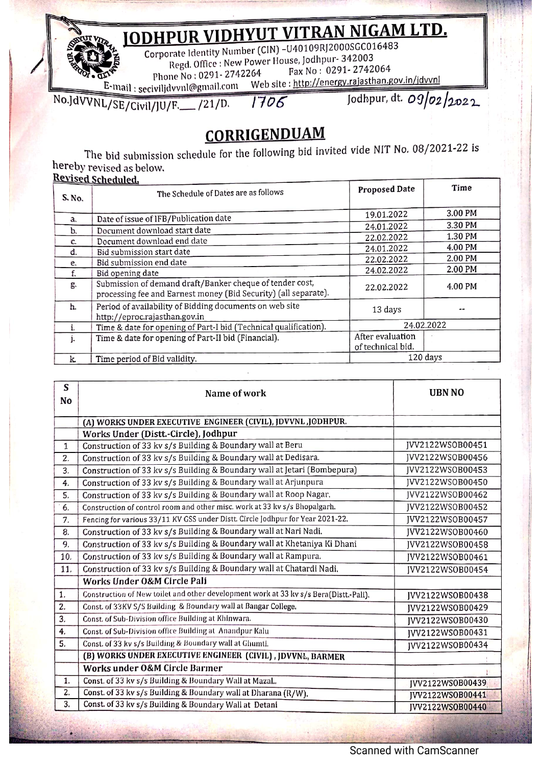**ODHPUR VIDHYUT VITRAN NIGAM LTD.**<br>Corporate Identity Number (CIN) -U40109RJ2000SGC016483

Corporate Identity Number (CIN) -U4 0109RJ2000SGC016483 Regd. Office: New Power House, Jodhpur- <sup>342003</sup> Fax No: 0291- <sup>2742064</sup>

Phone No: 0291- 2742264

ail.com Web site: http://energy.rajasthan.gov.in/jdvvn E-mail : seciviljdvvnl@gm Jodhpur, dt. 09/02/2022

No.JAVVNL/SE/civil/JU/F.\_\_ /21/D. 1706

## **CORRIGENDUAM**

The bid submission schedule for the following bid invited vide NIT No. <sup>08</sup> /2021-22 is hereby revised as below.

## Revised Scheduled.

nn

j

| S, No,   | The Schedule of Dates are as follows                                                                                        | Proposed Date                         | Time    |
|----------|-----------------------------------------------------------------------------------------------------------------------------|---------------------------------------|---------|
| a.       | Date of issue of IFB/Publication date                                                                                       | 19.01.2022                            | 3.00 PM |
|          | Document download start date                                                                                                | 24.01.2022                            | 3.30 PM |
| b.       | Document download end date                                                                                                  | 22.02.2022                            | 1.30 PM |
| C.<br>d. | Bid submission start date                                                                                                   | 24.01.2022                            | 4.00 PM |
|          | Bid submission end date                                                                                                     | 22.02.2022                            | 2.00 PM |
| e.<br>f. | Bid opening date                                                                                                            | 24.02.2022                            | 2.00 PM |
| g.       | Submission of demand draft/Banker cheque of tender cost,<br>processing fee and Earnest money (Bid Security) (all separate). | 22.02.2022                            | 4.00 PM |
| h.       | Period of availability of Bidding documents on web site<br>http://eproc.rajasthan.gov.in                                    | 13 days                               |         |
|          | Time & date for opening of Part-I bid (Technical qualification).                                                            | 24.02.2022                            |         |
|          | Time & date for opening of Part-II bid (Financial).                                                                         | After evaluation<br>of technical bid. |         |
| k.       | Time period of Bid validity.                                                                                                | 120 days                              |         |

| S<br>No          | Name of work                                                                          | <b>UBN NO</b>           |
|------------------|---------------------------------------------------------------------------------------|-------------------------|
|                  | (A) WORKS UNDER EXECUTIVE ENGINEER (CIVIL), JDVVNL, JODHPUR.                          |                         |
|                  | Works Under (Distt.-Circle), Jodhpur                                                  |                         |
| $\mathbf{1}$     | Construction of 33 kv s/s Building & Boundary wall at Beru                            | JVV2122WSOB00451        |
| $\overline{2}$ . | Construction of 33 kv s/s Building & Boundary wall at Dedisara.                       | JVV2122WSOB00456        |
| 3.               | Construction of 33 kv s/s Building & Boundary wall at Jetari (Bombepura)              | JVV2122WSOB00453        |
| 4.               | Construction of 33 kv s/s Building & Boundary wall at Arjunpura                       | JVV2122WS0B00450        |
| 5.               | Construction of 33 kv s/s Building & Boundary wall at Roop Nagar.                     | JVV2122WS0B00462        |
| $\overline{6}$   | Construction of control room and other misc. work at 33 kv s/s Bhopalgarh.            | JVV2122WS0B00452        |
| 7.               | Fencing for various 33/11 KV GSS under Distt. Circle Jodhpur for Year 2021-22.        | JVV2122WS0B00457        |
| 8.               | Construction of 33 kv s/s Building & Boundary wall at Nari Nadi.                      | JVV2122WSOB00460        |
| 9.               | Construction of 33 kv s/s Building & Boundary wall at Khetaniya Ki Dhani              | JVV2122WSOB00458        |
| 10.              | Construction of 33 kv s/s Building & Boundary wall at Rampura.                        | JVV2122WSOB00461        |
| 11.              | Construction of 33 kv s/s Building & Boundary wall at Chatardi Nadi,                  | JVV2122WSOB00454        |
|                  | Works Under O&M Circle Pali                                                           |                         |
| 1.               | Construction of New toilet and other development work at 33 kv s/s Bera(Distt.-Pali). | JVV2122WSOB00438        |
| $\overline{2}$   | Const. of 33KV S/S Building & Boundary wall at Bangar College.                        | JVV2122WSOB00429        |
| $\overline{3}$   | Const. of Sub-Division office Building at Khinwara.                                   | IVV2122WS0B00430        |
| 4.               | Const. of Sub-Division office Building at Anandpur Kalu                               | JVV2122WSOB00431        |
| 5.               | Const. of 33 kv s/s Building & Boundary wall at Ghumti.                               | JVV2122WSOB00434        |
|                  | (B) WORKS UNDER EXECUTIVE ENGINEER (CIVIL), JDVVNL, BARMER                            |                         |
|                  | Works under O&M Circle Barmer                                                         |                         |
| 1.               | Const. of 33 kv s/s Building & Boundary Wall at Mazal                                 | <b>IVV2122WS0B00439</b> |
| $\overline{2}$ . | Const. of 33 kv s/s Building & Boundary wall at Dharana (R/W).                        | JVV2122WSOB00441        |
| 3.               | Const. of 33 kv s/s Building & Boundary Wall at Detani                                | JVV2122WSOB00440        |

 $\ddot{a}$ 

I

 $\overline{a}$